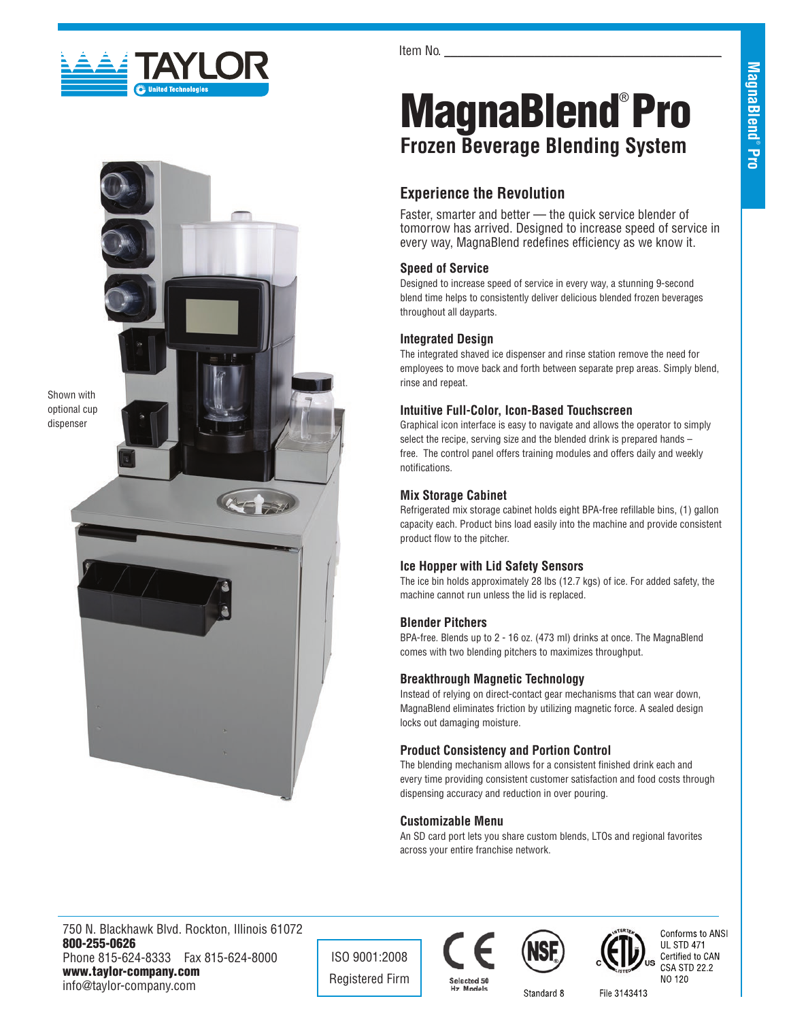

Item No.

# MagnaBlend®Pro **Frozen Beverage Blending System**

## **Experience the Revolution**

Faster, smarter and better — the quick service blender of tomorrow has arrived. Designed to increase speed of service in every way, MagnaBlend redefines efficiency as we know it.

## **Speed of Service**

Designed to increase speed of service in every way, a stunning 9-second blend time helps to consistently deliver delicious blended frozen beverages throughout all dayparts.

### **Integrated Design**

The integrated shaved ice dispenser and rinse station remove the need for employees to move back and forth between separate prep areas. Simply blend, rinse and repeat.

#### **Intuitive Full-Color, Icon-Based Touchscreen**

Graphical icon interface is easy to navigate and allows the operator to simply select the recipe, serving size and the blended drink is prepared hands – free. The control panel offers training modules and offers daily and weekly notifications.

## **Mix Storage Cabinet**

Refrigerated mix storage cabinet holds eight BPA-free refillable bins, (1) gallon capacity each. Product bins load easily into the machine and provide consistent product flow to the pitcher.

#### **Ice Hopper with Lid Safety Sensors**

The ice bin holds approximately 28 lbs (12.7 kgs) of ice. For added safety, the machine cannot run unless the lid is replaced.

#### **Blender Pitchers**

BPA-free. Blends up to 2 - 16 oz. (473 ml) drinks at once. The MagnaBlend comes with two blending pitchers to maximizes throughput.

## **Breakthrough Magnetic Technology**

Instead of relying on direct-contact gear mechanisms that can wear down, MagnaBlend eliminates friction by utilizing magnetic force. A sealed design locks out damaging moisture.

## **Product Consistency and Portion Control**

The blending mechanism allows for a consistent finished drink each and every time providing consistent customer satisfaction and food costs through dispensing accuracy and reduction in over pouring.

## **Customizable Menu**

An SD card port lets you share custom blends, LTOs and regional favorites across your entire franchise network.

750 N. Blackhawk Blvd. Rockton, Illinois 61072 800-255-0626 Phone 815-624-8333 Fax 815-624-8000 www.taylor-company.com info@taylor-company.com

ISO 9001:2008 Registered Firm





Standard 8



File 3143413

Shown with optional cup dispenser